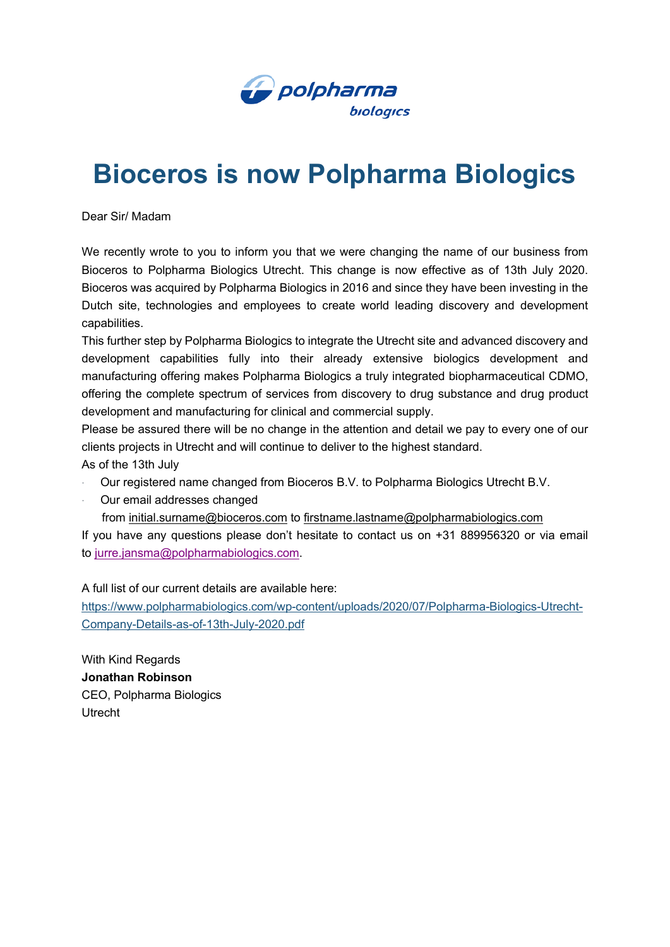

## **Bioceros is now Polpharma Biologics**

Dear Sir/ Madam

We recently wrote to you to inform you that we were changing the name of our business from Bioceros to Polpharma Biologics Utrecht. This change is now effective as of 13th July 2020. Bioceros was acquired by Polpharma Biologics in 2016 and since they have been investing in the Dutch site, technologies and employees to create world leading discovery and development capabilities.

This further step by Polpharma Biologics to integrate the Utrecht site and advanced discovery and development capabilities fully into their already extensive biologics development and manufacturing offering makes Polpharma Biologics a truly integrated biopharmaceutical CDMO, offering the complete spectrum of services from discovery to drug substance and drug product development and manufacturing for clinical and commercial supply.

Please be assured there will be no change in the attention and detail we pay to every one of our clients projects in Utrecht and will continue to deliver to the highest standard.

As of the 13th July

- · Our registered name changed from Bioceros B.V. to Polpharma Biologics Utrecht B.V.
- Our email addresses changed
	- from [initial.surname@bioceros.com](mailto:initial.surname@bioceros.com) to [firstname.lastname@polpharmabiologics.com](mailto:firstname.lastname@polpharmabiologics.com)

If you have any questions please don't hesitate to contact us on +31 889956320 or via email to [jurre.jansma@polpharmabiologics.com.](mailto:jurre.jansma@polpharmabiologics.com)

A full list of our current details are available here:

[https://www.polpharmabiologics.com/wp-content/uploads/2020/07/Polpharma-Biologics-Utrecht-](https://eur04.safelinks.protection.outlook.com/?url=https%3A%2F%2Fpolpharmabiologics.cmail19.com%2Ft%2Ft-i-pirktdl-l-r%2F&data=02%7C01%7Cjoseph.reeds%40polpharmabiologics.com%7C9358efa79029486e5aca08d81f56d1fc%7C2bb7849029534d3092c3d36530f082a4%7C0%7C0%7C637293805041099967&sdata=tg%2F%2F5SlHBqxzmp86G12Gv5BhtmB5IdpRBVkGbeJJ7Gg%3D&reserved=0)[Company-Details-as-of-13th-July-2020.pdf](https://eur04.safelinks.protection.outlook.com/?url=https%3A%2F%2Fpolpharmabiologics.cmail19.com%2Ft%2Ft-i-pirktdl-l-r%2F&data=02%7C01%7Cjoseph.reeds%40polpharmabiologics.com%7C9358efa79029486e5aca08d81f56d1fc%7C2bb7849029534d3092c3d36530f082a4%7C0%7C0%7C637293805041099967&sdata=tg%2F%2F5SlHBqxzmp86G12Gv5BhtmB5IdpRBVkGbeJJ7Gg%3D&reserved=0)

With Kind Regards **Jonathan Robinson** CEO, Polpharma Biologics Utrecht